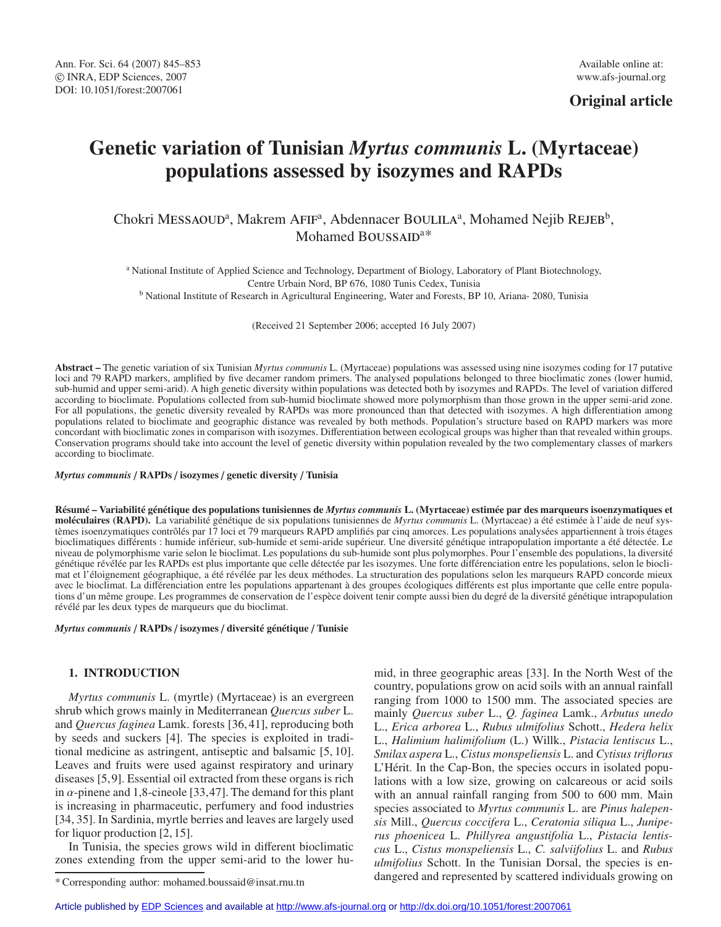**Original article**

# **Genetic variation of Tunisian** *Myrtus communis* **L. (Myrtaceae) populations assessed by isozymes and RAPDs**

Chokri MESSAOUD<sup>a</sup>, Makrem AFIF<sup>a</sup>, Abdennacer BOULILA<sup>a</sup>, Mohamed Nejib REJEB<sup>b</sup>, Mohamed BOUSSAID<sup>a\*</sup>

<sup>a</sup> National Institute of Applied Science and Technology, Department of Biology, Laboratory of Plant Biotechnology, Centre Urbain Nord, BP 676, 1080 Tunis Cedex, Tunisia <sup>b</sup> National Institute of Research in Agricultural Engineering, Water and Forests, BP 10, Ariana- 2080, Tunisia

(Received 21 September 2006; accepted 16 July 2007)

**Abstract –** The genetic variation of six Tunisian *Myrtus communis* L. (Myrtaceae) populations was assessed using nine isozymes coding for 17 putative loci and 79 RAPD markers, amplified by five decamer random primers. The analysed populations belonged to three bioclimatic zones (lower humid, sub-humid and upper semi-arid). A high genetic diversity within populations was detected both by isozymes and RAPDs. The level of variation differed according to bioclimate. Populations collected from sub-humid bioclimate showed more polymorphism than those grown in the upper semi-arid zone. For all populations, the genetic diversity revealed by RAPDs was more pronounced than that detected with isozymes. A high differentiation among populations related to bioclimate and geographic distance was revealed by both methods. Population's structure based on RAPD markers was more concordant with bioclimatic zones in comparison with isozymes. Differentiation between ecological groups was higher than that revealed within groups. Conservation programs should take into account the level of genetic diversity within population revealed by the two complementary classes of markers according to bioclimate.

#### *Myrtus communis* / **RAPDs** / **isozymes** / **genetic diversity** / **Tunisia**

**Résumé – Variabilité génétique des populations tunisiennes de** *Myrtus communis* **L. (Myrtaceae) estimée par des marqueurs isoenzymatiques et moléculaires (RAPD).** La variabilité génétique de six populations tunisiennes de *Myrtus communis* L. (Myrtaceae) a été estimée à l'aide de neuf systèmes isoenzymatiques contrôlés par 17 loci et 79 marqueurs RAPD amplifiés par cinq amorces. Les populations analysées appartiennent à trois étages bioclimatiques différents : humide inférieur, sub-humide et semi-aride supérieur. Une diversité génétique intrapopulation importante a été détectée. Le niveau de polymorphisme varie selon le bioclimat. Les populations du sub-humide sont plus polymorphes. Pour l'ensemble des populations, la diversité génétique révélée par les RAPDs est plus importante que celle détectée par les isozymes. Une forte différenciation entre les populations, selon le bioclimat et l'éloignement géographique, a été révélée par les deux méthodes. La structuration des populations selon les marqueurs RAPD concorde mieux avec le bioclimat. La différenciation entre les populations appartenant à des groupes écologiques différents est plus importante que celle entre populations d'un même groupe. Les programmes de conservation de l'espèce doivent tenir compte aussi bien du degré de la diversité génétique intrapopulation révélé par les deux types de marqueurs que du bioclimat.

*Myrtus communis* / **RAPDs** / **isozymes** / **diversité génétique** / **Tunisie**

## **1. INTRODUCTION**

*Myrtus communis* L. (myrtle) (Myrtaceae) is an evergreen shrub which grows mainly in Mediterranean *Quercus suber* L. and *Quercus faginea* Lamk. forests [36, 41], reproducing both by seeds and suckers [4]. The species is exploited in traditional medicine as astringent, antiseptic and balsamic [5, 10]. Leaves and fruits were used against respiratory and urinary diseases [5,9]. Essential oil extracted from these organs is rich in  $\alpha$ -pinene and 1,8-cineole [33,47]. The demand for this plant is increasing in pharmaceutic, perfumery and food industries [34, 35]. In Sardinia, myrtle berries and leaves are largely used for liquor production [2, 15].

In Tunisia, the species grows wild in different bioclimatic zones extending from the upper semi-arid to the lower humid, in three geographic areas [33]. In the North West of the country, populations grow on acid soils with an annual rainfall ranging from 1000 to 1500 mm. The associated species are mainly *Quercus suber* L., *Q. faginea* Lamk., *Arbutus unedo* L., *Erica arborea* L., *Rubus ulmifolius* Schott., *Hedera helix* L., *Halimium halimifolium* (L.) Willk., *Pistacia lentiscus* L., *Smilax aspera* L., *Cistus monspeliensis* L. and *Cytisus triflorus* L'Hérit. In the Cap-Bon, the species occurs in isolated populations with a low size, growing on calcareous or acid soils with an annual rainfall ranging from 500 to 600 mm. Main species associated to *Myrtus communis* L. are *Pinus halepensis* Mill., *Quercus coccifera* L., *Ceratonia siliqua* L., *Juniperus phoenicea* L. *Phillyrea angustifolia* L., *Pistacia lentiscus* L., *Cistus monspeliensis* L., *C. salviifolius* L. and *Rubus ulmifolius* Schott. In the Tunisian Dorsal, the species is endangered and represented by scattered individuals growing on

<sup>\*</sup> Corresponding author: mohamed.boussaid@insat.rnu.tn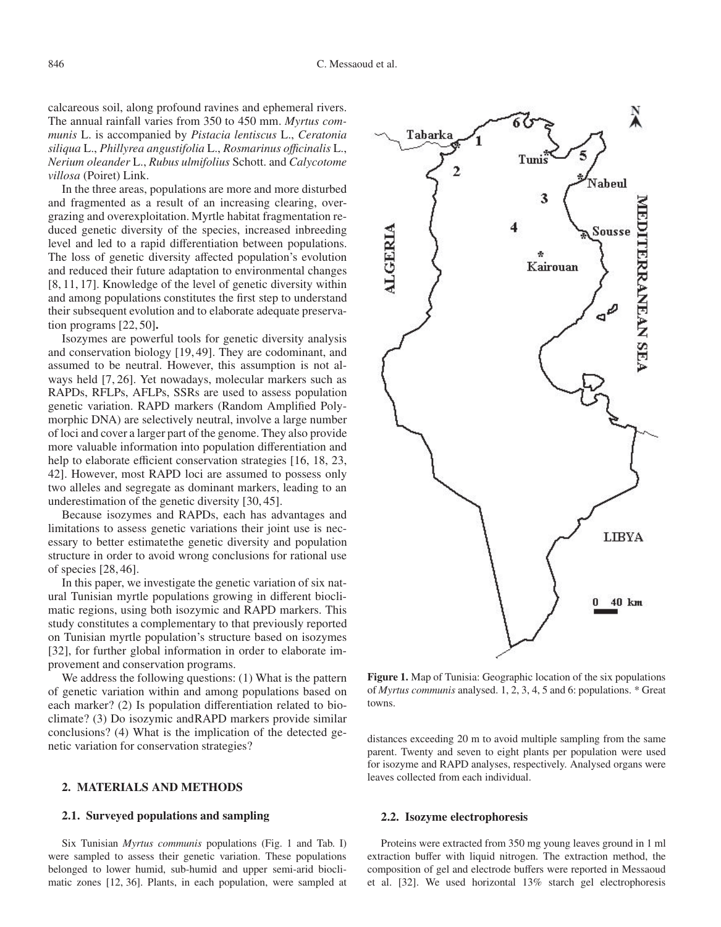calcareous soil, along profound ravines and ephemeral rivers. The annual rainfall varies from 350 to 450 mm. *Myrtus communis* L. is accompanied by *Pistacia lentiscus* L., *Ceratonia siliqua* L., *Phillyrea angustifolia* L., *Rosmarinus o*ffi*cinalis* L., *Nerium oleander* L., *Rubus ulmifolius* Schott. and *Calycotome villosa* (Poiret) Link.

In the three areas, populations are more and more disturbed and fragmented as a result of an increasing clearing, overgrazing and overexploitation. Myrtle habitat fragmentation reduced genetic diversity of the species, increased inbreeding level and led to a rapid differentiation between populations. The loss of genetic diversity affected population's evolution and reduced their future adaptation to environmental changes [8, 11, 17]. Knowledge of the level of genetic diversity within and among populations constitutes the first step to understand their subsequent evolution and to elaborate adequate preservation programs [22, 50]**.**

Isozymes are powerful tools for genetic diversity analysis and conservation biology [19, 49]. They are codominant, and assumed to be neutral. However, this assumption is not always held [7, 26]. Yet nowadays, molecular markers such as RAPDs, RFLPs, AFLPs, SSRs are used to assess population genetic variation. RAPD markers (Random Amplified Polymorphic DNA) are selectively neutral, involve a large number of loci and cover a larger part of the genome. They also provide more valuable information into population differentiation and help to elaborate efficient conservation strategies [16, 18, 23, 42]. However, most RAPD loci are assumed to possess only two alleles and segregate as dominant markers, leading to an underestimation of the genetic diversity [30, 45].

Because isozymes and RAPDs, each has advantages and limitations to assess genetic variations their joint use is necessary to better estimatethe genetic diversity and population structure in order to avoid wrong conclusions for rational use of species [28, 46].

In this paper, we investigate the genetic variation of six natural Tunisian myrtle populations growing in different bioclimatic regions, using both isozymic and RAPD markers. This study constitutes a complementary to that previously reported on Tunisian myrtle population's structure based on isozymes [32], for further global information in order to elaborate improvement and conservation programs.

We address the following questions: (1) What is the pattern of genetic variation within and among populations based on each marker? (2) Is population differentiation related to bioclimate? (3) Do isozymic andRAPD markers provide similar conclusions? (4) What is the implication of the detected genetic variation for conservation strategies?

## **2. MATERIALS AND METHODS**

### **2.1. Surveyed populations and sampling**

Six Tunisian *Myrtus communis* populations (Fig. 1 and Tab. I) were sampled to assess their genetic variation. These populations belonged to lower humid, sub-humid and upper semi-arid bioclimatic zones [12, 36]. Plants, in each population, were sampled at



**Figure 1.** Map of Tunisia: Geographic location of the six populations of *Myrtus communis* analysed. 1, 2, 3, 4, 5 and 6: populations. \* Great towns.

distances exceeding 20 m to avoid multiple sampling from the same parent. Twenty and seven to eight plants per population were used for isozyme and RAPD analyses, respectively. Analysed organs were leaves collected from each individual.

## **2.2. Isozyme electrophoresis**

Proteins were extracted from 350 mg young leaves ground in 1 ml extraction buffer with liquid nitrogen. The extraction method, the composition of gel and electrode buffers were reported in Messaoud et al. [32]. We used horizontal 13% starch gel electrophoresis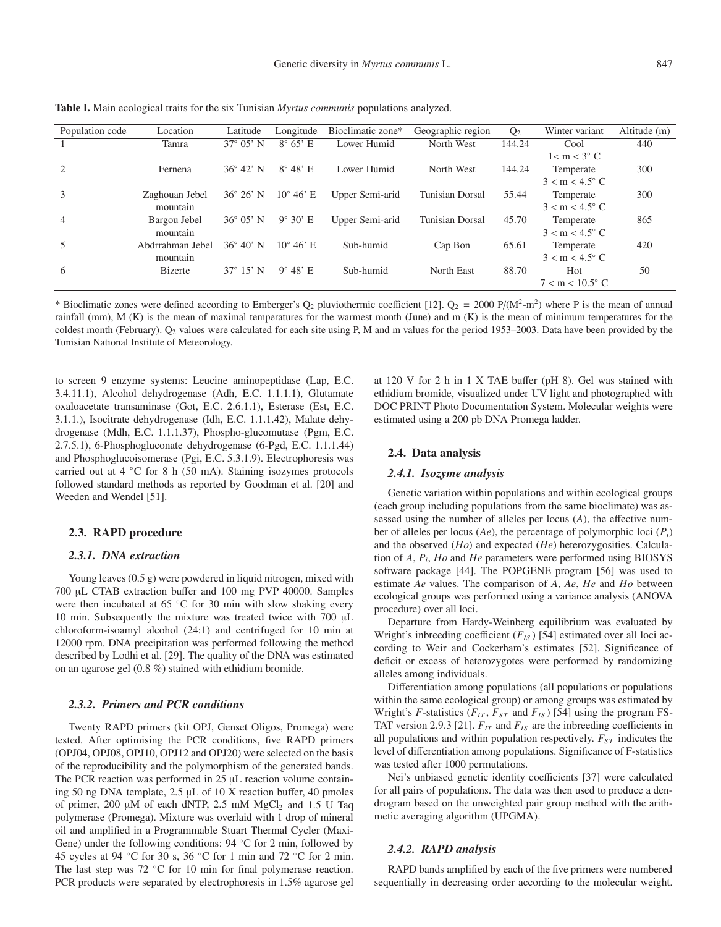**Table I.** Main ecological traits for the six Tunisian *Myrtus communis* populations analyzed.

| Population code | Location         | Latitude           | Longitude                 | Bioclimatic zone* | Geographic region      | Q <sub>2</sub> | Winter variant          | Altitude (m) |
|-----------------|------------------|--------------------|---------------------------|-------------------|------------------------|----------------|-------------------------|--------------|
|                 | Tamra            | $37^{\circ}$ 05' N | $8^{\circ}$ 65' E         | Lower Humid       | North West             | 144.24         | Cool                    | 440          |
|                 |                  |                    |                           |                   |                        |                | $1 < m < 3^\circ C$     |              |
| 2               | Fernena          | $36^{\circ} 42' N$ | $8^\circ 48'$ E           | Lower Humid       | North West             | 144.24         | Temperate               | 300          |
|                 |                  |                    |                           |                   |                        |                | $3 < m < 4.5^{\circ}$ C |              |
| 3               | Zaghouan Jebel   | $36^{\circ} 26' N$ | $10^{\circ} 46^{\circ}$ E | Upper Semi-arid   | <b>Tunisian Dorsal</b> | 55.44          | Temperate               | 300          |
|                 | mountain         |                    |                           |                   |                        |                | $3 < m < 4.5^{\circ}$ C |              |
| $\overline{4}$  | Bargou Jebel     | $36^{\circ}$ 05' N | $9^{\circ}$ 30' E         | Upper Semi-arid   | <b>Tunisian Dorsal</b> | 45.70          | Temperate               | 865          |
|                 | mountain         |                    |                           |                   |                        |                | $3 < m < 4.5^{\circ}$ C |              |
| 5               | Abdrrahman Jebel | $36^{\circ} 40' N$ | $10^{\circ} 46'$ E        | Sub-humid         | Cap Bon                | 65.61          | Temperate               | 420          |
|                 | mountain         |                    |                           |                   |                        |                | $3 < m < 4.5^{\circ}$ C |              |
| 6               | <b>Bizerte</b>   | $37^{\circ}$ 15' N | $9^{\circ}$ 48' E         | Sub-humid         | North East             | 88.70          | Hot                     | 50           |
|                 |                  |                    | $7 < m < 10.5$ °C         |                   |                        |                |                         |              |

\* Bioclimatic zones were defined according to Emberger's  $Q_2$  pluviothermic coefficient [12].  $Q_2 = 2000 P/(M^2-m^2)$  where P is the mean of annual rainfall (mm), M (K) is the mean of maximal temperatures for the warmest month (June) and m (K) is the mean of minimum temperatures for the coldest month (February).  $Q_2$  values were calculated for each site using P, M and m values for the period 1953–2003. Data have been provided by the Tunisian National Institute of Meteorology.

to screen 9 enzyme systems: Leucine aminopeptidase (Lap, E.C. 3.4.11.1), Alcohol dehydrogenase (Adh, E.C. 1.1.1.1), Glutamate oxaloacetate transaminase (Got, E.C. 2.6.1.1), Esterase (Est, E.C. 3.1.1.), Isocitrate dehydrogenase (Idh, E.C. 1.1.1.42), Malate dehydrogenase (Mdh, E.C. 1.1.1.37), Phospho-glucomutase (Pgm, E.C. 2.7.5.1), 6-Phosphogluconate dehydrogenase (6-Pgd, E.C. 1.1.1.44) and Phosphoglucoisomerase (Pgi, E.C. 5.3.1.9). Electrophoresis was carried out at  $4 °C$  for  $8 h (50 mA)$ . Staining isozymes protocols followed standard methods as reported by Goodman et al. [20] and Weeden and Wendel [51].

## **2.3. RAPD procedure**

## *2.3.1. DNA extraction*

Young leaves  $(0.5 \text{ g})$  were powdered in liquid nitrogen, mixed with 700 μL CTAB extraction buffer and 100 mg PVP 40000. Samples were then incubated at 65 ◦C for 30 min with slow shaking every 10 min. Subsequently the mixture was treated twice with 700 μL chloroform-isoamyl alcohol (24:1) and centrifuged for 10 min at 12000 rpm. DNA precipitation was performed following the method described by Lodhi et al. [29]. The quality of the DNA was estimated on an agarose gel (0.8 %) stained with ethidium bromide.

## *2.3.2. Primers and PCR conditions*

Twenty RAPD primers (kit OPJ, Genset Oligos, Promega) were tested. After optimising the PCR conditions, five RAPD primers (OPJ04, OPJ08, OPJ10, OPJ12 and OPJ20) were selected on the basis of the reproducibility and the polymorphism of the generated bands. The PCR reaction was performed in 25 μL reaction volume containing 50 ng DNA template, 2.5 μL of 10 X reaction buffer, 40 pmoles of primer, 200 μM of each dNTP, 2.5 mM  $MgCl<sub>2</sub>$  and 1.5 U Taq polymerase (Promega). Mixture was overlaid with 1 drop of mineral oil and amplified in a Programmable Stuart Thermal Cycler (Maxi-Gene) under the following conditions: 94 ℃ for 2 min, followed by 45 cycles at 94 ◦C for 30 s, 36 ◦C for 1 min and 72 ◦C for 2 min. The last step was 72 ℃ for 10 min for final polymerase reaction. PCR products were separated by electrophoresis in 1.5% agarose gel at 120 V for 2 h in 1 X TAE buffer (pH 8). Gel was stained with ethidium bromide, visualized under UV light and photographed with DOC PRINT Photo Documentation System. Molecular weights were estimated using a 200 pb DNA Promega ladder.

## **2.4. Data analysis**

## *2.4.1. Isozyme analysis*

Genetic variation within populations and within ecological groups (each group including populations from the same bioclimate) was assessed using the number of alleles per locus (*A*), the effective number of alleles per locus (*Ae*), the percentage of polymorphic loci (*Pi*) and the observed (*Ho*) and expected (*He*) heterozygosities. Calculation of *A*, *Pi*, *Ho* and *He* parameters were performed using BIOSYS software package [44]. The POPGENE program [56] was used to estimate *Ae* values. The comparison of *A*, *Ae*, *He* and *Ho* between ecological groups was performed using a variance analysis (ANOVA procedure) over all loci.

Departure from Hardy-Weinberg equilibrium was evaluated by Wright's inbreeding coefficient ( $F_{IS}$ ) [54] estimated over all loci according to Weir and Cockerham's estimates [52]. Significance of deficit or excess of heterozygotes were performed by randomizing alleles among individuals.

Differentiation among populations (all populations or populations within the same ecological group) or among groups was estimated by Wright's *F*-statistics ( $F_{IT}$ ,  $F_{ST}$  and  $F_{IS}$ ) [54] using the program FS-TAT version 2.9.3 [21].  $F_{IT}$  and  $F_{IS}$  are the inbreeding coefficients in all populations and within population respectively.  $F_{ST}$  indicates the level of differentiation among populations. Significance of F-statistics was tested after 1000 permutations.

Nei's unbiased genetic identity coefficients [37] were calculated for all pairs of populations. The data was then used to produce a dendrogram based on the unweighted pair group method with the arithmetic averaging algorithm (UPGMA).

# *2.4.2. RAPD analysis*

RAPD bands amplified by each of the five primers were numbered sequentially in decreasing order according to the molecular weight.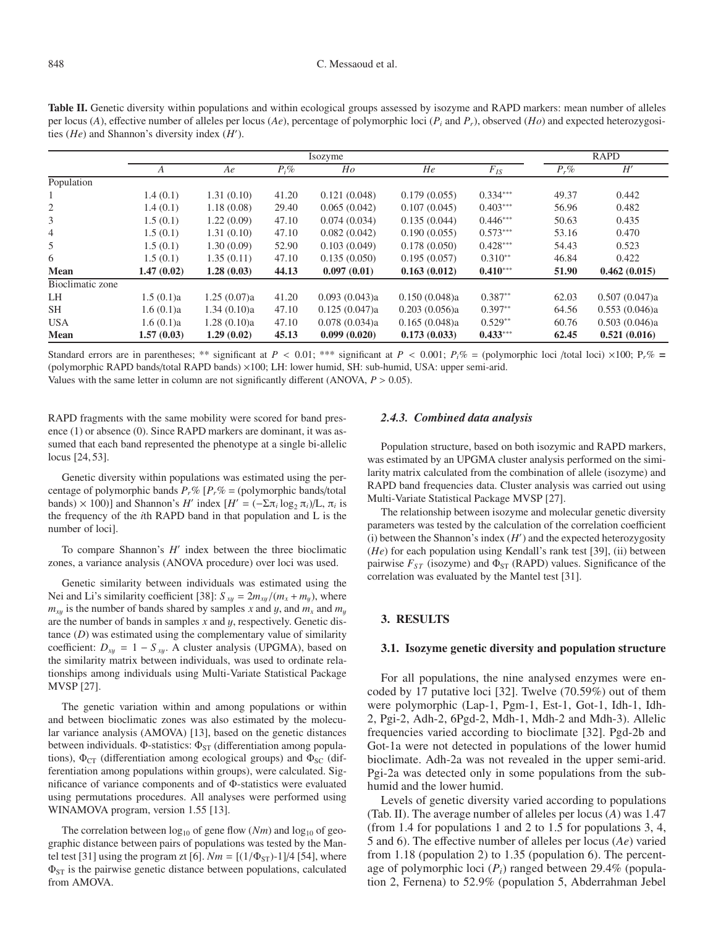#### 848 C. Messaoud et al.

Table II. Genetic diversity within populations and within ecological groups assessed by isozyme and RAPD markers: mean number of alleles per locus (*A*), effective number of alleles per locus (*Ae*), percentage of polymorphic loci (*Pi* and *Pr*), observed (*Ho*) and expected heterozygosities (*He*) and Shannon's diversity index (*H* ).

|                  | Isozyme    |             |         |               |               |            | <b>RAPD</b> |               |
|------------------|------------|-------------|---------|---------------|---------------|------------|-------------|---------------|
|                  | A          | Ae          | $P_i\%$ | Ho            | He            | $F_{IS}$   | $P_r$ %     | H'            |
| Population       |            |             |         |               |               |            |             |               |
|                  | 1.4(0.1)   | 1.31(0.10)  | 41.20   | 0.121(0.048)  | 0.179(0.055)  | $0.334***$ | 49.37       | 0.442         |
| 2                | 1.4(0.1)   | 1.18(0.08)  | 29.40   | 0.065(0.042)  | 0.107(0.045)  | $0.403***$ | 56.96       | 0.482         |
| 3                | 1.5(0.1)   | 1.22(0.09)  | 47.10   | 0.074(0.034)  | 0.135(0.044)  | $0.446***$ | 50.63       | 0.435         |
| 4                | 1.5(0.1)   | 1.31(0.10)  | 47.10   | 0.082(0.042)  | 0.190(0.055)  | $0.573***$ | 53.16       | 0.470         |
| 5                | 1.5(0.1)   | 1.30(0.09)  | 52.90   | 0.103(0.049)  | 0.178(0.050)  | $0.428***$ | 54.43       | 0.523         |
| 6                | 1.5(0.1)   | 1.35(0.11)  | 47.10   | 0.135(0.050)  | 0.195(0.057)  | $0.310**$  | 46.84       | 0.422         |
| <b>Mean</b>      | 1.47(0.02) | 1.28(0.03)  | 44.13   | 0.097(0.01)   | 0.163(0.012)  | $0.410***$ | 51.90       | 0.462(0.015)  |
| Bioclimatic zone |            |             |         |               |               |            |             |               |
| LH               | 1.5(0.1)a  | 1.25(0.07)a | 41.20   | 0.093(0.043)a | 0.150(0.048)a | $0.387**$  | 62.03       | 0.507(0.047)a |
| <b>SH</b>        | 1.6(0.1)a  | 1.34(0.10)a | 47.10   | 0.125(0.047)a | 0.203(0.056)a | $0.397**$  | 64.56       | 0.553(0.046)a |
| <b>USA</b>       | 1.6(0.1)a  | 1.28(0.10)a | 47.10   | 0.078(0.034)a | 0.165(0.048)a | $0.529**$  | 60.76       | 0.503(0.046)a |
| <b>Mean</b>      | 1.57(0.03) | 1.29(0.02)  | 45.13   | 0.099(0.020)  | 0.173(0.033)  | $0.433***$ | 62.45       | 0.521(0.016)  |

Standard errors are in parentheses; \*\* significant at  $P < 0.01$ ; \*\* significant at  $P < 0.001$ ;  $P_i\% =$  (polymorphic loci/total loci)  $\times 100$ ;  $P_r\% =$ (polymorphic RAPD bands/total RAPD bands) ×100; LH: lower humid, SH: sub-humid, USA: upper semi-arid. Values with the same letter in column are not significantly different (ANOVA,  $P > 0.05$ ).

RAPD fragments with the same mobility were scored for band presence (1) or absence (0). Since RAPD markers are dominant, it was assumed that each band represented the phenotype at a single bi-allelic locus [24, 53].

Genetic diversity within populations was estimated using the percentage of polymorphic bands  $P_r$ %  $[P_r$ % = (polymorphic bands/total bands)  $\times$  100)] and Shannon's *H'* index  $[H' = (-\Sigma \pi_i \log_2 \pi_i)/L, \pi_i]$  is the frequency of the *i*th RAPD band in that population and L is the number of loci].

To compare Shannon's *H'* index between the three bioclimatic zones, a variance analysis (ANOVA procedure) over loci was used.

Genetic similarity between individuals was estimated using the Nei and Li's similarity coefficient [38]:  $S_{xy} = 2m_{xy}/(m_x + m_y)$ , where  $m_{xy}$  is the number of bands shared by samples *x* and *y*, and  $m_x$  and  $m_y$ are the number of bands in samples *x* and y, respectively. Genetic distance (*D*) was estimated using the complementary value of similarity coefficient:  $D_{xy} = 1 - S_{xy}$ . A cluster analysis (UPGMA), based on the similarity matrix between individuals, was used to ordinate relationships among individuals using Multi-Variate Statistical Package MVSP [27].

The genetic variation within and among populations or within and between bioclimatic zones was also estimated by the molecular variance analysis (AMOVA) [13], based on the genetic distances between individuals. Φ-statistics:  $\Phi_{ST}$  (differentiation among populations),  $\Phi_{CT}$  (differentiation among ecological groups) and  $\Phi_{SC}$  (differentiation among populations within groups), were calculated. Significance of variance components and of Φ-statistics were evaluated using permutations procedures. All analyses were performed using WINAMOVA program, version 1.55 [13].

The correlation between  $log_{10}$  of gene flow ( $Nm$ ) and  $log_{10}$  of geographic distance between pairs of populations was tested by the Mantel test [31] using the program zt [6].  $Nm = [(1/\Phi_{ST})-1]/4$  [54], where  $\Phi_{ST}$  is the pairwise genetic distance between populations, calculated from AMOVA.

#### *2.4.3. Combined data analysis*

Population structure, based on both isozymic and RAPD markers, was estimated by an UPGMA cluster analysis performed on the similarity matrix calculated from the combination of allele (isozyme) and RAPD band frequencies data. Cluster analysis was carried out using Multi-Variate Statistical Package MVSP [27].

The relationship between isozyme and molecular genetic diversity parameters was tested by the calculation of the correlation coefficient  $(i)$  between the Shannon's index  $(H')$  and the expected heterozygosity (*He*) for each population using Kendall's rank test [39], (ii) between pairwise  $F_{ST}$  (isozyme) and  $\Phi_{ST}$  (RAPD) values. Significance of the correlation was evaluated by the Mantel test [31].

## **3. RESULTS**

## **3.1. Isozyme genetic diversity and population structure**

For all populations, the nine analysed enzymes were encoded by 17 putative loci [32]. Twelve (70.59%) out of them were polymorphic (Lap-1, Pgm-1, Est-1, Got-1, Idh-1, Idh-2, Pgi-2, Adh-2, 6Pgd-2, Mdh-1, Mdh-2 and Mdh-3). Allelic frequencies varied according to bioclimate [32]. Pgd-2b and Got-1a were not detected in populations of the lower humid bioclimate. Adh-2a was not revealed in the upper semi-arid. Pgi-2a was detected only in some populations from the subhumid and the lower humid.

Levels of genetic diversity varied according to populations (Tab. II). The average number of alleles per locus (*A*) was 1.47 (from 1.4 for populations 1 and 2 to 1.5 for populations 3, 4, 5 and 6). The effective number of alleles per locus (*Ae*) varied from 1.18 (population 2) to 1.35 (population 6). The percentage of polymorphic loci (*Pi*) ranged between 29.4% (population 2, Fernena) to 52.9% (population 5, Abderrahman Jebel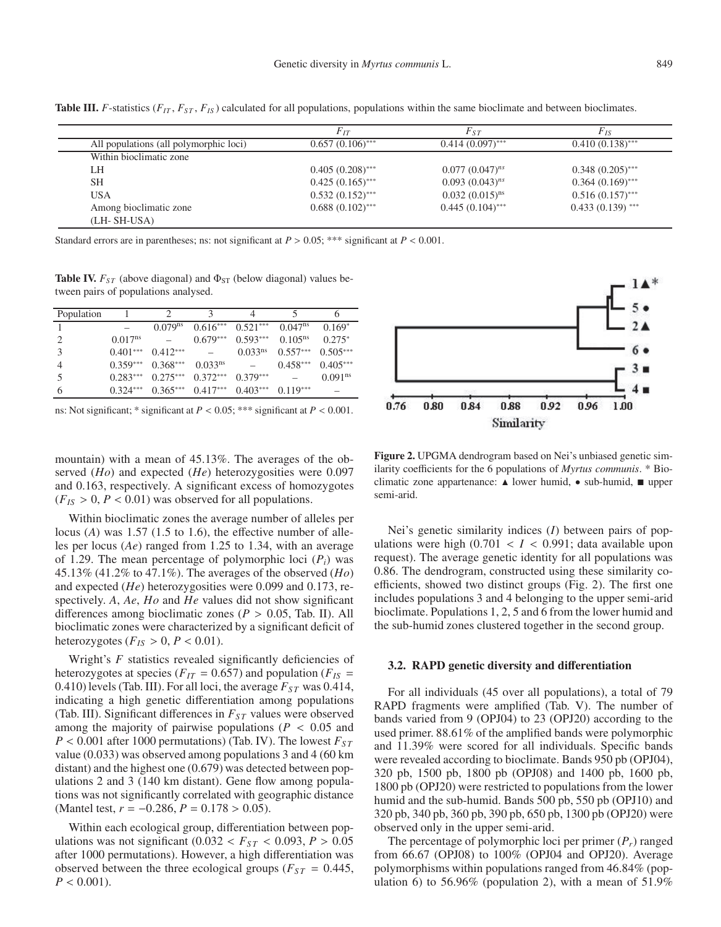|                                        | $F_{IT}$           | $F_{ST}$             | $F_{IS}$           |
|----------------------------------------|--------------------|----------------------|--------------------|
| All populations (all polymorphic loci) | $0.657(0.106)$ *** | $0.414(0.097)$ ***   | $0.410(0.138)$ *** |
| Within bioclimatic zone                |                    |                      |                    |
| LH                                     | $0.405(0.208)$ *** | $0.077~(0.047)^{ns}$ | $0.348(0.205)$ *** |
| <b>SH</b>                              | $0.425(0.165)$ *** | $0.093~(0.043)^{ns}$ | $0.364(0.169)$ *** |
| <b>USA</b>                             | $0.532(0.152)$ *** | $0.032 (0.015)^{ns}$ | $0.516(0.157)$ *** |
| Among bioclimatic zone                 | $0.688(0.102)$ *** | $0.445(0.104)$ ***   | $0.433(0.139)$ *** |
| (LH- SH-USA)                           |                    |                      |                    |

**Table III.** *F*-statistics ( $F_{IT}$ ,  $F_{ST}$ ,  $F_{IS}$ ) calculated for all populations, populations within the same bioclimate and between bioclimates.

Standard errors are in parentheses; ns: not significant at  $P > 0.05$ ; \*\*\* significant at  $P < 0.001$ .

**Table IV.**  $F_{ST}$  (above diagonal) and  $\Phi_{ST}$  (below diagonal) values between pairs of populations analysed.

| Population |              |                                |                       |                                  |              |                       |
|------------|--------------|--------------------------------|-----------------------|----------------------------------|--------------|-----------------------|
|            |              | $0.079^{ns}$                   |                       | $0.616***$ $0.521***$            | $0.047^{ns}$ | $0.169*$              |
|            | $0.017^{ns}$ |                                | $0.679***$            | $0.593***$                       | $0.105^{ns}$ | $0.275*$              |
|            | $0.401***$   | $0.412***$                     |                       | 0.033 <sup>ns</sup>              | $0.557***$   | $0.505***$            |
|            | $0.359***$   | $0.368***$ 0.033 <sup>ns</sup> |                       |                                  | $0.458***$   | $0.405***$            |
| 5          | $0.283***$   | $0.275***$                     | $0.372***$ $0.379***$ |                                  |              | $0.091$ <sup>ns</sup> |
| 6          | $0.324***$   |                                |                       | $0.365***$ $0.417***$ $0.403***$ | $0.119***$   |                       |

ns: Not significant;  $*$  significant at  $P < 0.05$ ;  $***$  significant at  $P < 0.001$ .

mountain) with a mean of 45.13%. The averages of the observed (*Ho*) and expected (*He*) heterozygosities were 0.097 and 0.163, respectively. A significant excess of homozygotes  $(F_{IS} > 0, P < 0.01)$  was observed for all populations.

Within bioclimatic zones the average number of alleles per locus (*A*) was 1.57 (1.5 to 1.6), the effective number of alleles per locus (*Ae*) ranged from 1.25 to 1.34, with an average of 1.29. The mean percentage of polymorphic loci  $(P_i)$  was 45.13% (41.2% to 47.1%). The averages of the observed (*Ho*) and expected (*He*) heterozygosities were 0.099 and 0.173, respectively. *A*, *Ae*, *Ho* and *He* values did not show significant differences among bioclimatic zones (*P* > 0.05, Tab. II). All bioclimatic zones were characterized by a significant deficit of heterozygotes ( $F_{IS} > 0$ ,  $P < 0.01$ ).

Wright's *F* statistics revealed significantly deficiencies of heterozygotes at species ( $F_{IT}$  = 0.657) and population ( $F_{IS}$  = 0.410) levels (Tab. III). For all loci, the average  $F_{ST}$  was 0.414, indicating a high genetic differentiation among populations (Tab. III). Significant differences in  $F_{ST}$  values were observed among the majority of pairwise populations ( $P < 0.05$  and  $P < 0.001$  after 1000 permutations) (Tab. IV). The lowest  $F_{ST}$ value (0.033) was observed among populations 3 and 4 (60 km distant) and the highest one (0.679) was detected between populations 2 and 3 (140 km distant). Gene flow among populations was not significantly correlated with geographic distance (Mantel test, *r* = −0.286, *P* = 0.178 > 0.05).

Within each ecological group, differentiation between populations was not significant  $(0.032 < F_{ST} < 0.093, P > 0.05$ after 1000 permutations). However, a high differentiation was observed between the three ecological groups ( $F_{ST} = 0.445$ ,  $P < 0.001$ ).

0.76 0.80 0.84 0.88 0.92 0.96  $1.00$ Similarity **Figure 2.** UPGMA dendrogram based on Nei's unbiased genetic sim-

ilarity coefficients for the 6 populations of *Myrtus communis*. \* Bioclimatic zone appartenance: ▲ lower humid, ● sub-humid, ■ upper semi-arid.

Nei's genetic similarity indices (*I*) between pairs of populations were high  $(0.701 < I < 0.991$ ; data available upon request). The average genetic identity for all populations was 0.86. The dendrogram, constructed using these similarity coefficients, showed two distinct groups (Fig. 2). The first one includes populations 3 and 4 belonging to the upper semi-arid bioclimate. Populations 1, 2, 5 and 6 from the lower humid and the sub-humid zones clustered together in the second group.

# **3.2. RAPD genetic diversity and di**ff**erentiation**

For all individuals (45 over all populations), a total of 79 RAPD fragments were amplified (Tab. V). The number of bands varied from 9 (OPJ04) to 23 (OPJ20) according to the used primer. 88.61% of the amplified bands were polymorphic and 11.39% were scored for all individuals. Specific bands were revealed according to bioclimate. Bands 950 pb (OPJ04), 320 pb, 1500 pb, 1800 pb (OPJ08) and 1400 pb, 1600 pb, 1800 pb (OPJ20) were restricted to populations from the lower humid and the sub-humid. Bands 500 pb, 550 pb (OPJ10) and 320 pb, 340 pb, 360 pb, 390 pb, 650 pb, 1300 pb (OPJ20) were observed only in the upper semi-arid.

The percentage of polymorphic loci per primer (*Pr*) ranged from 66.67 (OPJ08) to 100% (OPJ04 and OPJ20). Average polymorphisms within populations ranged from 46.84% (population 6) to  $56.96\%$  (population 2), with a mean of  $51.9\%$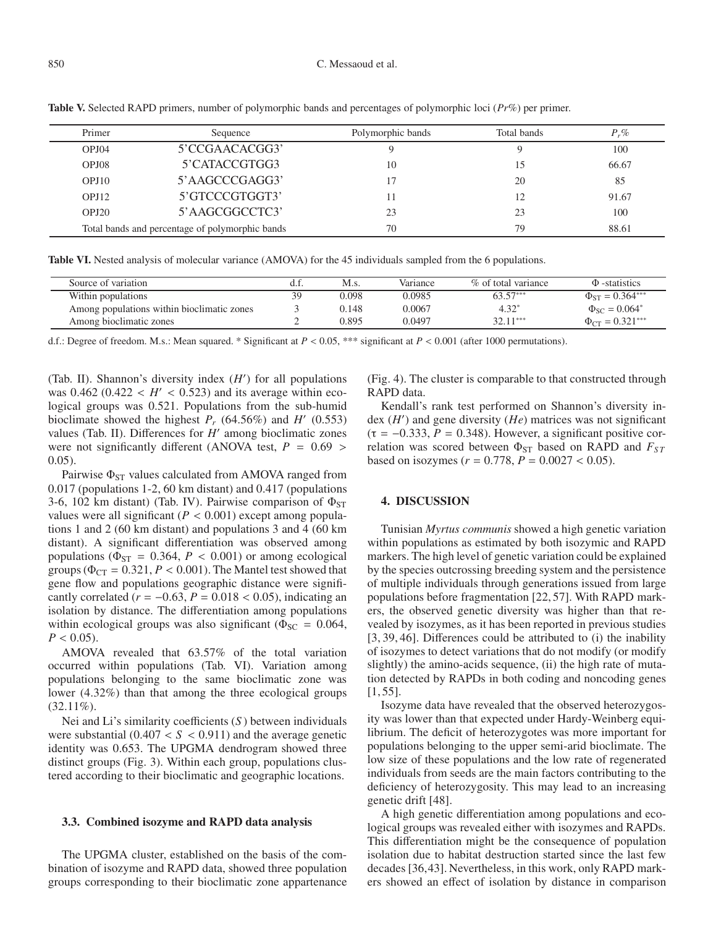#### 850 C. Messaoud et al.

| Primer       | Sequence                                        | Polymorphic bands | Total bands | $P_{r}\%$ |
|--------------|-------------------------------------------------|-------------------|-------------|-----------|
| OPJ04        | 5'CCGAACACGG3'                                  |                   |             | 100       |
| OPJ08        | 5'CATACCGTGG3                                   | 10                |             | 66.67     |
| OPJ10        | 5'AAGCCCGAGG3'                                  |                   | 20          | 85        |
| OPJ12        | 5'GTCCCGTGGT3'                                  |                   |             | 91.67     |
| <b>OPJ20</b> | 5'AAGCGGCCTC3'                                  | 23                | 23          | 100       |
|              | Total bands and percentage of polymorphic bands | 70                | 79          | 88.61     |

**Table V.** Selected RAPD primers, number of polymorphic bands and percentages of polymorphic loci (*Pr*%) per primer.

**Table VI.** Nested analysis of molecular variance (AMOVA) for the 45 individuals sampled from the 6 populations.

| Source of variation                        | u.i. | M.s.  | Variance | % of total variance | $\Phi$ -statistics     |
|--------------------------------------------|------|-------|----------|---------------------|------------------------|
| Within populations                         | 39   | 0.098 | 0.0985   | 63.57***            | $\Phi_{ST} = 0.364***$ |
| Among populations within bioclimatic zones |      | 0.148 | 0.0067   | $4.32*$             | $\Phi_{SC} = 0.064^*$  |
| Among bioclimatic zones                    |      | 0.895 | 0.0497   | $32.11***$          | $\Phi_{CT} = 0.321***$ |

d.f.: Degree of freedom. M.s.: Mean squared. \* Significant at *P* < 0.05, \*\*\* significant at *P* < 0.001 (after 1000 permutations).

(Tab. II). Shannon's diversity index (*H* ) for all populations was  $0.462 (0.422 < H' < 0.523)$  and its average within ecological groups was 0.521. Populations from the sub-humid bioclimate showed the highest  $P_r$  (64.56%) and  $H'$  (0.553) values (Tab. II). Differences for *H'* among bioclimatic zones were not significantly different (ANOVA test,  $P = 0.69$ ) 0.05).

Pairwise  $\Phi_{ST}$  values calculated from AMOVA ranged from 0.017 (populations 1-2, 60 km distant) and 0.417 (populations 3-6, 102 km distant) (Tab. IV). Pairwise comparison of  $\Phi_{ST}$ values were all significant  $(P < 0.001)$  except among populations 1 and 2 (60 km distant) and populations 3 and 4 (60 km distant). A significant differentiation was observed among populations ( $\Phi_{ST} = 0.364$ ,  $P < 0.001$ ) or among ecological groups ( $\Phi_{CT} = 0.321$ ,  $P < 0.001$ ). The Mantel test showed that gene flow and populations geographic distance were significantly correlated ( $r = -0.63$ ,  $P = 0.018 < 0.05$ ), indicating an isolation by distance. The differentiation among populations within ecological groups was also significant ( $\Phi_{SC} = 0.064$ ,  $P < 0.05$ ).

AMOVA revealed that 63.57% of the total variation occurred within populations (Tab. VI). Variation among populations belonging to the same bioclimatic zone was lower (4.32%) than that among the three ecological groups  $(32.11\%).$ 

Nei and Li's similarity coefficients (*S* ) between individuals were substantial  $(0.407 < S < 0.911)$  and the average genetic identity was 0.653. The UPGMA dendrogram showed three distinct groups (Fig. 3). Within each group, populations clustered according to their bioclimatic and geographic locations.

## **3.3. Combined isozyme and RAPD data analysis**

The UPGMA cluster, established on the basis of the combination of isozyme and RAPD data, showed three population groups corresponding to their bioclimatic zone appartenance (Fig. 4). The cluster is comparable to that constructed through RAPD data.

Kendall's rank test performed on Shannon's diversity index (*H* ) and gene diversity (*He*) matrices was not significant  $(\tau = -0.333, P = 0.348)$ . However, a significant positive correlation was scored between  $\Phi_{ST}$  based on RAPD and  $F_{ST}$ based on isozymes ( $r = 0.778$ ,  $P = 0.0027 < 0.05$ ).

# **4. DISCUSSION**

Tunisian *Myrtus communis* showed a high genetic variation within populations as estimated by both isozymic and RAPD markers. The high level of genetic variation could be explained by the species outcrossing breeding system and the persistence of multiple individuals through generations issued from large populations before fragmentation [22, 57]. With RAPD markers, the observed genetic diversity was higher than that revealed by isozymes, as it has been reported in previous studies [3, 39, 46]. Differences could be attributed to (i) the inability of isozymes to detect variations that do not modify (or modify slightly) the amino-acids sequence, (ii) the high rate of mutation detected by RAPDs in both coding and noncoding genes  $[1, 55]$ .

Isozyme data have revealed that the observed heterozygosity was lower than that expected under Hardy-Weinberg equilibrium. The deficit of heterozygotes was more important for populations belonging to the upper semi-arid bioclimate. The low size of these populations and the low rate of regenerated individuals from seeds are the main factors contributing to the deficiency of heterozygosity. This may lead to an increasing genetic drift [48].

A high genetic differentiation among populations and ecological groups was revealed either with isozymes and RAPDs. This differentiation might be the consequence of population isolation due to habitat destruction started since the last few decades [36,43]. Nevertheless, in this work, only RAPD markers showed an effect of isolation by distance in comparison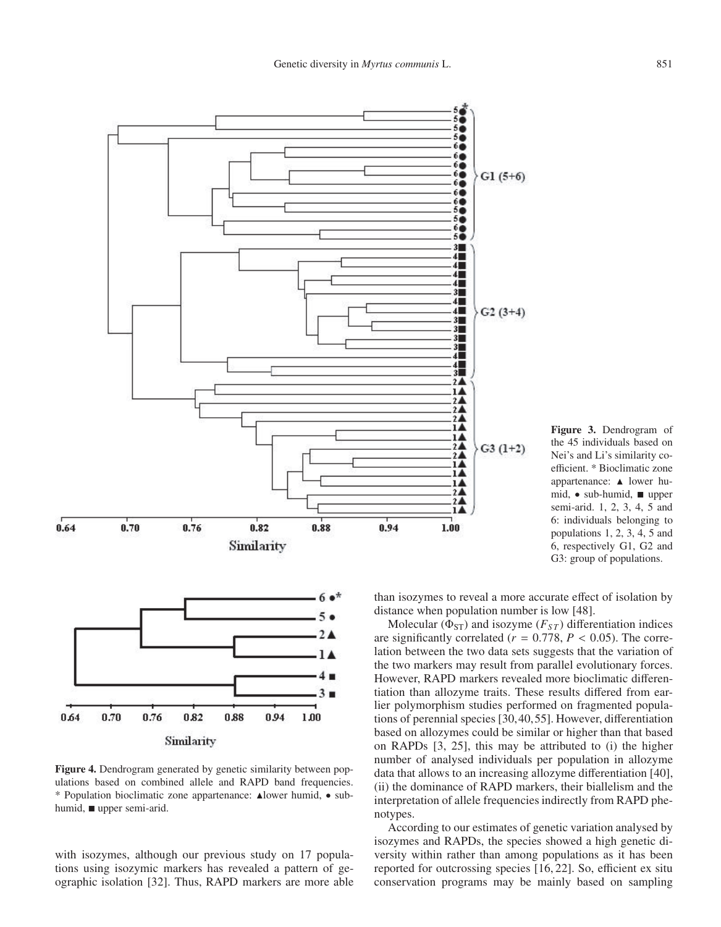





0.64

**Figure 4.** Dendrogram generated by genetic similarity between populations based on combined allele and RAPD band frequencies. \* Population bioclimatic zone appartenance: Alower humid, • subhumid, ■ upper semi-arid.

with isozymes, although our previous study on 17 populations using isozymic markers has revealed a pattern of geographic isolation [32]. Thus, RAPD markers are more able than isozymes to reveal a more accurate effect of isolation by distance when population number is low [48].

Molecular ( $\Phi_{ST}$ ) and isozyme ( $F_{ST}$ ) differentiation indices are significantly correlated ( $r = 0.778$ ,  $P < 0.05$ ). The correlation between the two data sets suggests that the variation of the two markers may result from parallel evolutionary forces. However, RAPD markers revealed more bioclimatic differentiation than allozyme traits. These results differed from earlier polymorphism studies performed on fragmented populations of perennial species [30,40,55]. However, differentiation based on allozymes could be similar or higher than that based on RAPDs [3, 25], this may be attributed to (i) the higher number of analysed individuals per population in allozyme data that allows to an increasing allozyme differentiation [40], (ii) the dominance of RAPD markers, their biallelism and the interpretation of allele frequencies indirectly from RAPD phenotypes.

According to our estimates of genetic variation analysed by isozymes and RAPDs, the species showed a high genetic diversity within rather than among populations as it has been reported for outcrossing species [16, 22]. So, efficient ex situ conservation programs may be mainly based on sampling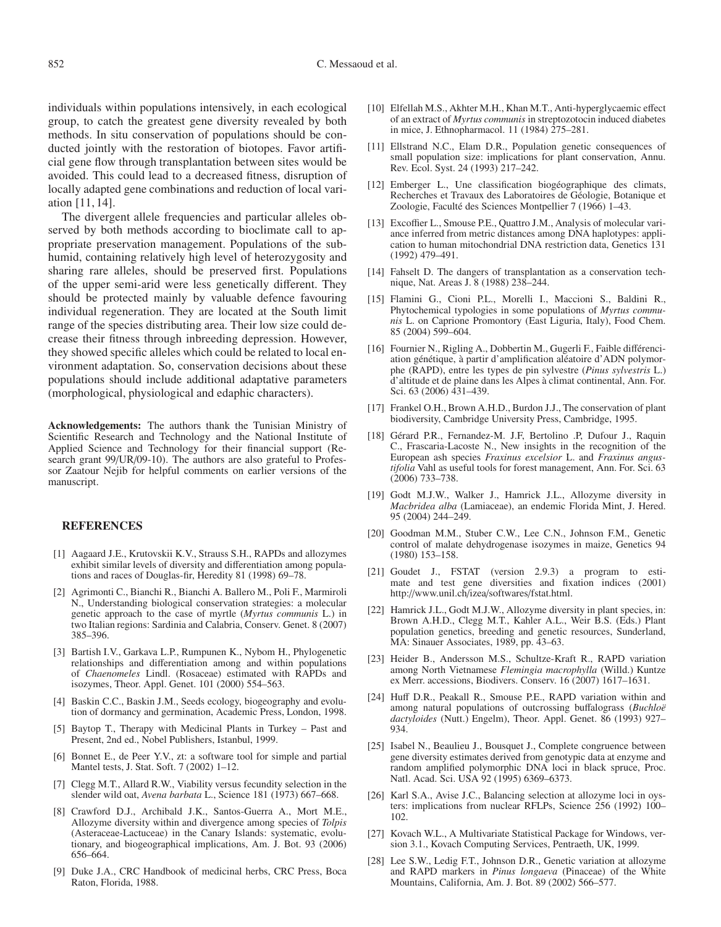individuals within populations intensively, in each ecological group, to catch the greatest gene diversity revealed by both methods. In situ conservation of populations should be conducted jointly with the restoration of biotopes. Favor artificial gene flow through transplantation between sites would be avoided. This could lead to a decreased fitness, disruption of locally adapted gene combinations and reduction of local variation [11, 14].

The divergent allele frequencies and particular alleles observed by both methods according to bioclimate call to appropriate preservation management. Populations of the subhumid, containing relatively high level of heterozygosity and sharing rare alleles, should be preserved first. Populations of the upper semi-arid were less genetically different. They should be protected mainly by valuable defence favouring individual regeneration. They are located at the South limit range of the species distributing area. Their low size could decrease their fitness through inbreeding depression. However, they showed specific alleles which could be related to local environment adaptation. So, conservation decisions about these populations should include additional adaptative parameters (morphological, physiological and edaphic characters).

**Acknowledgements:** The authors thank the Tunisian Ministry of Scientific Research and Technology and the National Institute of Applied Science and Technology for their financial support (Research grant 99/UR/09-10). The authors are also grateful to Professor Zaatour Nejib for helpful comments on earlier versions of the manuscript.

## **REFERENCES**

- [1] Aagaard J.E., Krutovskii K.V., Strauss S.H., RAPDs and allozymes exhibit similar levels of diversity and differentiation among populations and races of Douglas-fir, Heredity 81 (1998) 69–78.
- [2] Agrimonti C., Bianchi R., Bianchi A. Ballero M., Poli F., Marmiroli N., Understanding biological conservation strategies: a molecular genetic approach to the case of myrtle (*Myrtus communis* L.) in two Italian regions: Sardinia and Calabria, Conserv. Genet. 8 (2007) 385–396.
- [3] Bartish I.V., Garkava L.P., Rumpunen K., Nybom H., Phylogenetic relationships and differentiation among and within populations of *Chaenomeles* Lindl. (Rosaceae) estimated with RAPDs and isozymes, Theor. Appl. Genet. 101 (2000) 554–563.
- [4] Baskin C.C., Baskin J.M., Seeds ecology, biogeography and evolution of dormancy and germination, Academic Press, London, 1998.
- [5] Baytop T., Therapy with Medicinal Plants in Turkey Past and Present, 2nd ed., Nobel Publishers, Istanbul, 1999.
- [6] Bonnet E., de Peer Y.V., zt: a software tool for simple and partial Mantel tests, J. Stat. Soft. 7 (2002) 1–12.
- [7] Clegg M.T., Allard R.W., Viability versus fecundity selection in the slender wild oat, *Avena barbata* L., Science 181 (1973) 667–668.
- [8] Crawford D.J., Archibald J.K., Santos-Guerra A., Mort M.E., Allozyme diversity within and divergence among species of *Tolpis* (Asteraceae-Lactuceae) in the Canary Islands: systematic, evolutionary, and biogeographical implications, Am. J. Bot. 93 (2006) 656–664.
- [9] Duke J.A., CRC Handbook of medicinal herbs, CRC Press, Boca Raton, Florida, 1988.
- [10] Elfellah M.S., Akhter M.H., Khan M.T., Anti-hyperglycaemic effect of an extract of *Myrtus communis* in streptozotocin induced diabetes in mice, J. Ethnopharmacol. 11 (1984) 275–281.
- [11] Ellstrand N.C., Elam D.R., Population genetic consequences of small population size: implications for plant conservation, Annu. Rev. Ecol. Syst. 24 (1993) 217–242.
- [12] Emberger L., Une classification biogéographique des climats, Recherches et Travaux des Laboratoires de Géologie, Botanique et Zoologie, Faculté des Sciences Montpellier 7 (1966) 1–43.
- [13] Excoffier L., Smouse P.E., Quattro J.M., Analysis of molecular variance inferred from metric distances among DNA haplotypes: application to human mitochondrial DNA restriction data, Genetics 131 (1992) 479–491.
- [14] Fahselt D. The dangers of transplantation as a conservation technique, Nat. Areas J. 8 (1988) 238–244.
- [15] Flamini G., Cioni P.L., Morelli I., Maccioni S., Baldini R., Phytochemical typologies in some populations of *Myrtus communis* L. on Caprione Promontory (East Liguria, Italy), Food Chem. 85 (2004) 599–604.
- [16] Fournier N., Rigling A., Dobbertin M., Gugerli F., Faible différenciation génétique, à partir d'amplification aléatoire d'ADN polymorphe (RAPD), entre les types de pin sylvestre (*Pinus sylvestris* L.) d'altitude et de plaine dans les Alpes à climat continental, Ann. For. Sci. 63 (2006) 431–439.
- [17] Frankel O.H., Brown A.H.D., Burdon J.J., The conservation of plant biodiversity, Cambridge University Press, Cambridge, 1995.
- [18] Gérard P.R., Fernandez-M. J.F, Bertolino .P, Dufour J., Raquin C., Frascaria-Lacoste N., New insights in the recognition of the European ash species *Fraxinus excelsior* L. and *Fraxinus angustifolia* Vahl as useful tools for forest management, Ann. For. Sci. 63 (2006) 733–738.
- [19] Godt M.J.W., Walker J., Hamrick J.L., Allozyme diversity in *Macbridea alba* (Lamiaceae), an endemic Florida Mint, J. Hered. 95 (2004) 244–249.
- [20] Goodman M.M., Stuber C.W., Lee C.N., Johnson F.M., Genetic control of malate dehydrogenase isozymes in maize, Genetics 94 (1980) 153–158.
- [21] Goudet J., FSTAT (version 2.9.3) a program to estimate and test gene diversities and fixation indices (2001) http://www.unil.ch/izea/softwares/fstat.html.
- [22] Hamrick J.L., Godt M.J.W., Allozyme diversity in plant species, in: Brown A.H.D., Clegg M.T., Kahler A.L., Weir B.S. (Eds.) Plant population genetics, breeding and genetic resources, Sunderland, MA: Sinauer Associates, 1989, pp. 43–63.
- [23] Heider B., Andersson M.S., Schultze-Kraft R., RAPD variation among North Vietnamese *Flemingia macrophylla* (Willd.) Kuntze ex Merr. accessions, Biodivers. Conserv. 16 (2007) 1617–1631.
- [24] Huff D.R., Peakall R., Smouse P.E., RAPD variation within and among natural populations of outcrossing buffalograss (*Buchloë dactyloides* (Nutt.) Engelm), Theor. Appl. Genet. 86 (1993) 927– 934.
- [25] Isabel N., Beaulieu J., Bousquet J., Complete congruence between gene diversity estimates derived from genotypic data at enzyme and random amplified polymorphic DNA loci in black spruce, Proc. Natl. Acad. Sci. USA 92 (1995) 6369–6373.
- [26] Karl S.A., Avise J.C., Balancing selection at allozyme loci in oysters: implications from nuclear RFLPs, Science 256 (1992) 100– 102.
- [27] Kovach W.L., A Multivariate Statistical Package for Windows, version 3.1., Kovach Computing Services, Pentraeth, UK, 1999.
- [28] Lee S.W., Ledig F.T., Johnson D.R., Genetic variation at allozyme and RAPD markers in *Pinus longaeva* (Pinaceae) of the White Mountains, California, Am. J. Bot. 89 (2002) 566–577.